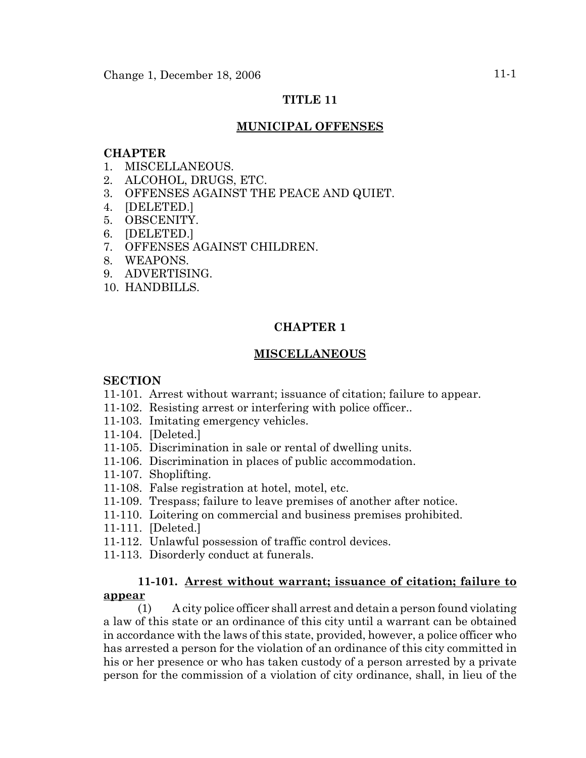# **TITLE 11**

# **MUNICIPAL OFFENSES**

# **CHAPTER**

- 1. MISCELLANEOUS.
- 2. ALCOHOL, DRUGS, ETC.
- 3. OFFENSES AGAINST THE PEACE AND QUIET.
- 4. [DELETED.]
- 5. OBSCENITY.
- 6. [DELETED.]
- 7. OFFENSES AGAINST CHILDREN.
- 8. WEAPONS.
- 9. ADVERTISING.
- 10. HANDBILLS.

# **CHAPTER 1**

# **MISCELLANEOUS**

#### **SECTION**

- 11-101. Arrest without warrant; issuance of citation; failure to appear.
- 11-102. Resisting arrest or interfering with police officer..
- 11-103. Imitating emergency vehicles.
- 11-104. [Deleted.]
- 11-105. Discrimination in sale or rental of dwelling units.
- 11-106. Discrimination in places of public accommodation.
- 11-107. Shoplifting.
- 11-108. False registration at hotel, motel, etc.
- 11-109. Trespass; failure to leave premises of another after notice.
- 11-110. Loitering on commercial and business premises prohibited.
- 11-111. [Deleted.]
- 11-112. Unlawful possession of traffic control devices.
- 11-113. Disorderly conduct at funerals.

# **11-101. Arrest without warrant; issuance of citation; failure to appear**

(1) A city police officer shall arrest and detain a person found violating a law of this state or an ordinance of this city until a warrant can be obtained in accordance with the laws of this state, provided, however, a police officer who has arrested a person for the violation of an ordinance of this city committed in his or her presence or who has taken custody of a person arrested by a private person for the commission of a violation of city ordinance, shall, in lieu of the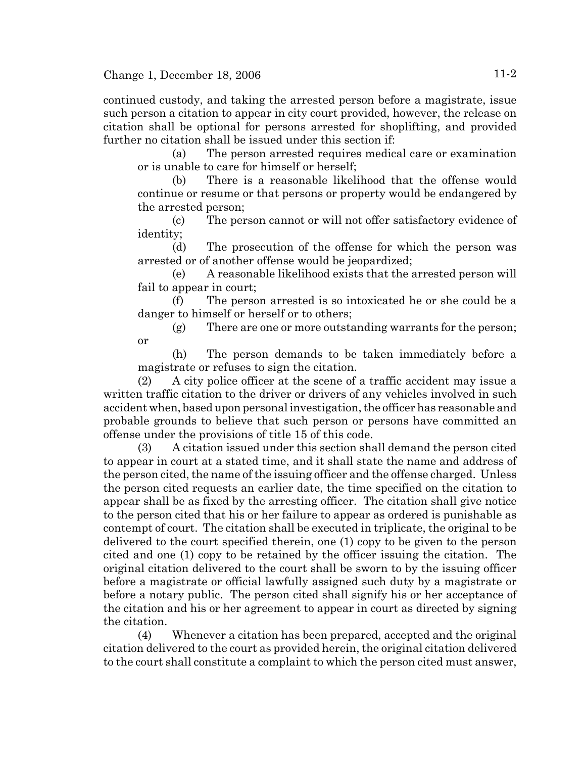continued custody, and taking the arrested person before a magistrate, issue such person a citation to appear in city court provided, however, the release on citation shall be optional for persons arrested for shoplifting, and provided further no citation shall be issued under this section if:

(a) The person arrested requires medical care or examination or is unable to care for himself or herself;

(b) There is a reasonable likelihood that the offense would continue or resume or that persons or property would be endangered by the arrested person;

(c) The person cannot or will not offer satisfactory evidence of identity;

(d) The prosecution of the offense for which the person was arrested or of another offense would be jeopardized;

(e) A reasonable likelihood exists that the arrested person will fail to appear in court;

(f) The person arrested is so intoxicated he or she could be a danger to himself or herself or to others;

(g) There are one or more outstanding warrants for the person; or

(h) The person demands to be taken immediately before a magistrate or refuses to sign the citation.

(2) A city police officer at the scene of a traffic accident may issue a written traffic citation to the driver or drivers of any vehicles involved in such accident when, based upon personal investigation, the officer has reasonable and probable grounds to believe that such person or persons have committed an offense under the provisions of title 15 of this code.

(3) A citation issued under this section shall demand the person cited to appear in court at a stated time, and it shall state the name and address of the person cited, the name of the issuing officer and the offense charged. Unless the person cited requests an earlier date, the time specified on the citation to appear shall be as fixed by the arresting officer. The citation shall give notice to the person cited that his or her failure to appear as ordered is punishable as contempt of court. The citation shall be executed in triplicate, the original to be delivered to the court specified therein, one (1) copy to be given to the person cited and one (1) copy to be retained by the officer issuing the citation. The original citation delivered to the court shall be sworn to by the issuing officer before a magistrate or official lawfully assigned such duty by a magistrate or before a notary public. The person cited shall signify his or her acceptance of the citation and his or her agreement to appear in court as directed by signing the citation.

(4) Whenever a citation has been prepared, accepted and the original citation delivered to the court as provided herein, the original citation delivered to the court shall constitute a complaint to which the person cited must answer,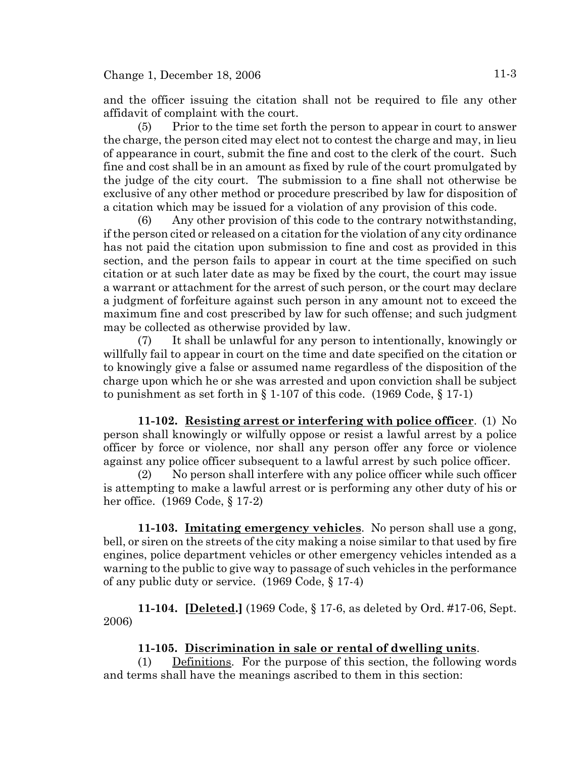and the officer issuing the citation shall not be required to file any other affidavit of complaint with the court.

(5) Prior to the time set forth the person to appear in court to answer the charge, the person cited may elect not to contest the charge and may, in lieu of appearance in court, submit the fine and cost to the clerk of the court. Such fine and cost shall be in an amount as fixed by rule of the court promulgated by the judge of the city court. The submission to a fine shall not otherwise be exclusive of any other method or procedure prescribed by law for disposition of a citation which may be issued for a violation of any provision of this code.

(6) Any other provision of this code to the contrary notwithstanding, if the person cited or released on a citation for the violation of any city ordinance has not paid the citation upon submission to fine and cost as provided in this section, and the person fails to appear in court at the time specified on such citation or at such later date as may be fixed by the court, the court may issue a warrant or attachment for the arrest of such person, or the court may declare a judgment of forfeiture against such person in any amount not to exceed the maximum fine and cost prescribed by law for such offense; and such judgment may be collected as otherwise provided by law.

(7) It shall be unlawful for any person to intentionally, knowingly or willfully fail to appear in court on the time and date specified on the citation or to knowingly give a false or assumed name regardless of the disposition of the charge upon which he or she was arrested and upon conviction shall be subject to punishment as set forth in  $\S 1-107$  of this code. (1969 Code,  $\S 17-1$ )

**11-102. Resisting arrest or interfering with police officer**. (1) No person shall knowingly or wilfully oppose or resist a lawful arrest by a police officer by force or violence, nor shall any person offer any force or violence against any police officer subsequent to a lawful arrest by such police officer.

(2) No person shall interfere with any police officer while such officer is attempting to make a lawful arrest or is performing any other duty of his or her office. (1969 Code, § 17-2)

**11-103. Imitating emergency vehicles**. No person shall use a gong, bell, or siren on the streets of the city making a noise similar to that used by fire engines, police department vehicles or other emergency vehicles intended as a warning to the public to give way to passage of such vehicles in the performance of any public duty or service. (1969 Code, § 17-4)

**11-104. [Deleted.]** (1969 Code, § 17-6, as deleted by Ord. #17-06, Sept. 2006)

# **11-105. Discrimination in sale or rental of dwelling units**.

(1) Definitions. For the purpose of this section, the following words and terms shall have the meanings ascribed to them in this section: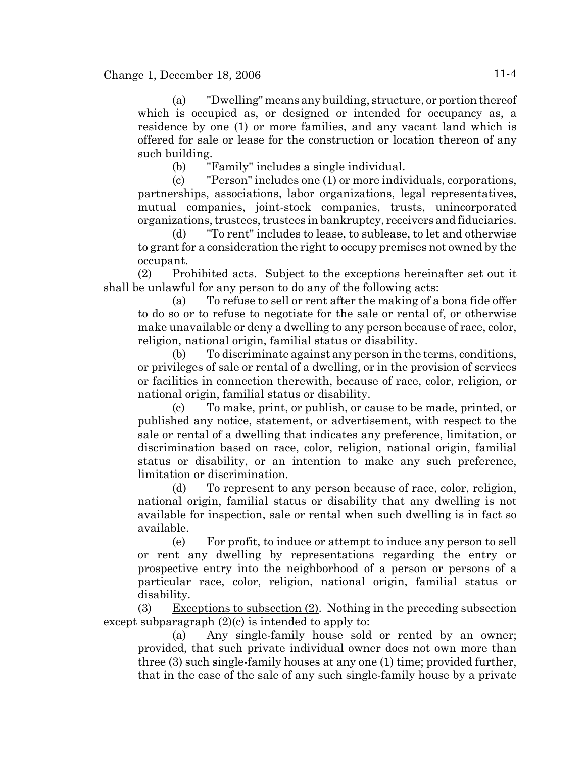(a) "Dwelling" means any building, structure, or portion thereof which is occupied as, or designed or intended for occupancy as, a residence by one (1) or more families, and any vacant land which is offered for sale or lease for the construction or location thereon of any such building.

(b) "Family" includes a single individual.

(c) "Person" includes one (1) or more individuals, corporations, partnerships, associations, labor organizations, legal representatives, mutual companies, joint-stock companies, trusts, unincorporated organizations, trustees, trustees in bankruptcy, receivers and fiduciaries.

(d) "To rent" includes to lease, to sublease, to let and otherwise to grant for a consideration the right to occupy premises not owned by the occupant.

(2) Prohibited acts. Subject to the exceptions hereinafter set out it shall be unlawful for any person to do any of the following acts:

(a) To refuse to sell or rent after the making of a bona fide offer to do so or to refuse to negotiate for the sale or rental of, or otherwise make unavailable or deny a dwelling to any person because of race, color, religion, national origin, familial status or disability.

(b) To discriminate against any person in the terms, conditions, or privileges of sale or rental of a dwelling, or in the provision of services or facilities in connection therewith, because of race, color, religion, or national origin, familial status or disability.

(c) To make, print, or publish, or cause to be made, printed, or published any notice, statement, or advertisement, with respect to the sale or rental of a dwelling that indicates any preference, limitation, or discrimination based on race, color, religion, national origin, familial status or disability, or an intention to make any such preference, limitation or discrimination.

(d) To represent to any person because of race, color, religion, national origin, familial status or disability that any dwelling is not available for inspection, sale or rental when such dwelling is in fact so available.

(e) For profit, to induce or attempt to induce any person to sell or rent any dwelling by representations regarding the entry or prospective entry into the neighborhood of a person or persons of a particular race, color, religion, national origin, familial status or disability.

(3) Exceptions to subsection  $(2)$ . Nothing in the preceding subsection except subparagraph  $(2)(c)$  is intended to apply to:

(a) Any single-family house sold or rented by an owner; provided, that such private individual owner does not own more than three (3) such single-family houses at any one (1) time; provided further, that in the case of the sale of any such single-family house by a private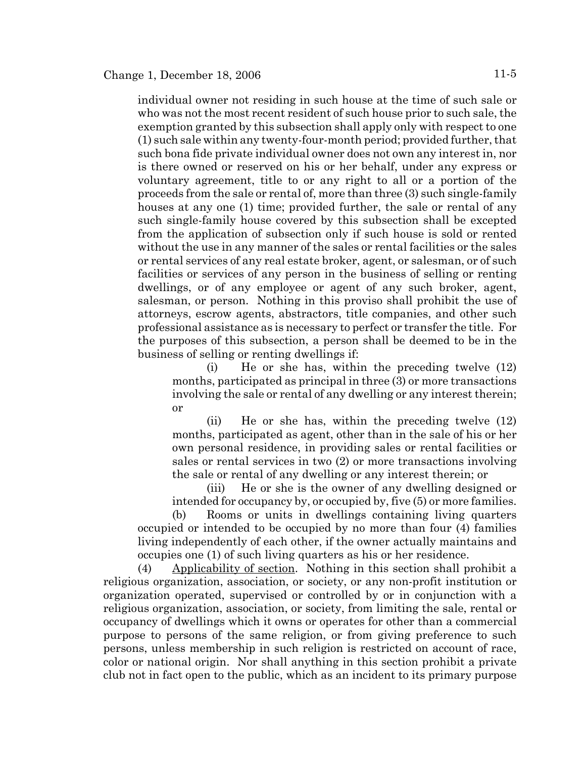individual owner not residing in such house at the time of such sale or who was not the most recent resident of such house prior to such sale, the exemption granted by this subsection shall apply only with respect to one (1) such sale within any twenty-four-month period; provided further, that such bona fide private individual owner does not own any interest in, nor is there owned or reserved on his or her behalf, under any express or voluntary agreement, title to or any right to all or a portion of the proceeds from the sale or rental of, more than three (3) such single-family houses at any one (1) time; provided further, the sale or rental of any such single-family house covered by this subsection shall be excepted from the application of subsection only if such house is sold or rented without the use in any manner of the sales or rental facilities or the sales or rental services of any real estate broker, agent, or salesman, or of such facilities or services of any person in the business of selling or renting dwellings, or of any employee or agent of any such broker, agent, salesman, or person. Nothing in this proviso shall prohibit the use of attorneys, escrow agents, abstractors, title companies, and other such professional assistance as is necessary to perfect or transfer the title. For the purposes of this subsection, a person shall be deemed to be in the business of selling or renting dwellings if:

(i) He or she has, within the preceding twelve (12) months, participated as principal in three (3) or more transactions involving the sale or rental of any dwelling or any interest therein; or

(ii) He or she has, within the preceding twelve (12) months, participated as agent, other than in the sale of his or her own personal residence, in providing sales or rental facilities or sales or rental services in two (2) or more transactions involving the sale or rental of any dwelling or any interest therein; or

(iii) He or she is the owner of any dwelling designed or intended for occupancy by, or occupied by, five (5) or more families. (b) Rooms or units in dwellings containing living quarters

occupied or intended to be occupied by no more than four (4) families living independently of each other, if the owner actually maintains and occupies one (1) of such living quarters as his or her residence.

(4) Applicability of section. Nothing in this section shall prohibit a religious organization, association, or society, or any non-profit institution or organization operated, supervised or controlled by or in conjunction with a religious organization, association, or society, from limiting the sale, rental or occupancy of dwellings which it owns or operates for other than a commercial purpose to persons of the same religion, or from giving preference to such persons, unless membership in such religion is restricted on account of race, color or national origin. Nor shall anything in this section prohibit a private club not in fact open to the public, which as an incident to its primary purpose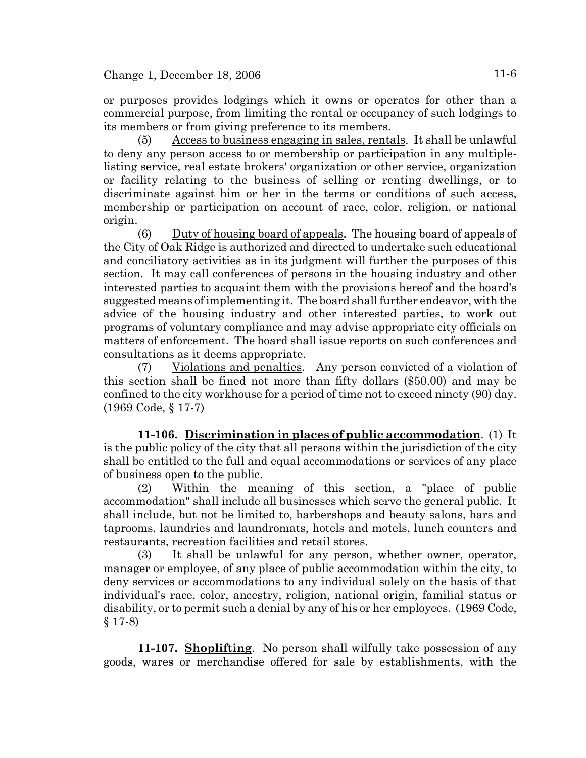or purposes provides lodgings which it owns or operates for other than a commercial purpose, from limiting the rental or occupancy of such lodgings to its members or from giving preference to its members.

(5) Access to business engaging in sales, rentals. It shall be unlawful to deny any person access to or membership or participation in any multiplelisting service, real estate brokers' organization or other service, organization or facility relating to the business of selling or renting dwellings, or to discriminate against him or her in the terms or conditions of such access, membership or participation on account of race, color, religion, or national origin.

(6) Duty of housing board of appeals. The housing board of appeals of the City of Oak Ridge is authorized and directed to undertake such educational and conciliatory activities as in its judgment will further the purposes of this section. It may call conferences of persons in the housing industry and other interested parties to acquaint them with the provisions hereof and the board's suggested means of implementing it. The board shall further endeavor, with the advice of the housing industry and other interested parties, to work out programs of voluntary compliance and may advise appropriate city officials on matters of enforcement. The board shall issue reports on such conferences and consultations as it deems appropriate.

(7) Violations and penalties. Any person convicted of a violation of this section shall be fined not more than fifty dollars (\$50.00) and may be confined to the city workhouse for a period of time not to exceed ninety (90) day. (1969 Code, § 17-7)

**11-106. Discrimination in places of public accommodation**. (1) It is the public policy of the city that all persons within the jurisdiction of the city shall be entitled to the full and equal accommodations or services of any place of business open to the public.

(2) Within the meaning of this section, a "place of public accommodation" shall include all businesses which serve the general public. It shall include, but not be limited to, barbershops and beauty salons, bars and taprooms, laundries and laundromats, hotels and motels, lunch counters and restaurants, recreation facilities and retail stores.

(3) It shall be unlawful for any person, whether owner, operator, manager or employee, of any place of public accommodation within the city, to deny services or accommodations to any individual solely on the basis of that individual's race, color, ancestry, religion, national origin, familial status or disability, or to permit such a denial by any of his or her employees. (1969 Code, § 17-8)

**11-107. Shoplifting**. No person shall wilfully take possession of any goods, wares or merchandise offered for sale by establishments, with the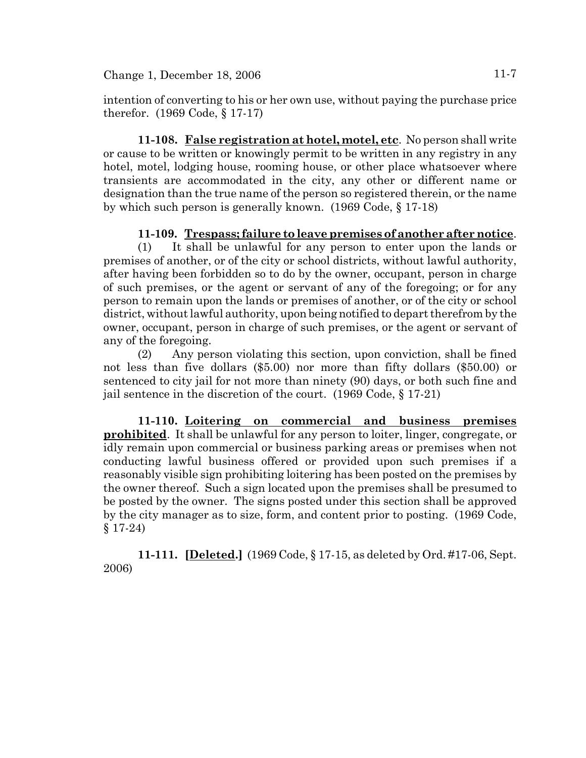intention of converting to his or her own use, without paying the purchase price therefor. (1969 Code, § 17-17)

**11-108. False registration at hotel, motel, etc**. No person shall write or cause to be written or knowingly permit to be written in any registry in any hotel, motel, lodging house, rooming house, or other place whatsoever where transients are accommodated in the city, any other or different name or designation than the true name of the person so registered therein, or the name by which such person is generally known. (1969 Code, § 17-18)

# **11-109. Trespass; failure to leave premises of another after notice**.

(1) It shall be unlawful for any person to enter upon the lands or premises of another, or of the city or school districts, without lawful authority, after having been forbidden so to do by the owner, occupant, person in charge of such premises, or the agent or servant of any of the foregoing; or for any person to remain upon the lands or premises of another, or of the city or school district, without lawful authority, upon being notified to depart therefrom by the owner, occupant, person in charge of such premises, or the agent or servant of any of the foregoing.

(2) Any person violating this section, upon conviction, shall be fined not less than five dollars (\$5.00) nor more than fifty dollars (\$50.00) or sentenced to city jail for not more than ninety (90) days, or both such fine and jail sentence in the discretion of the court. (1969 Code, § 17-21)

**11-110. Loitering on commercial and business premises prohibited**. It shall be unlawful for any person to loiter, linger, congregate, or idly remain upon commercial or business parking areas or premises when not conducting lawful business offered or provided upon such premises if a reasonably visible sign prohibiting loitering has been posted on the premises by the owner thereof. Such a sign located upon the premises shall be presumed to be posted by the owner. The signs posted under this section shall be approved by the city manager as to size, form, and content prior to posting. (1969 Code, § 17-24)

**11-111. [Deleted.]** (1969 Code, § 17-15, as deleted by Ord. #17-06, Sept. 2006)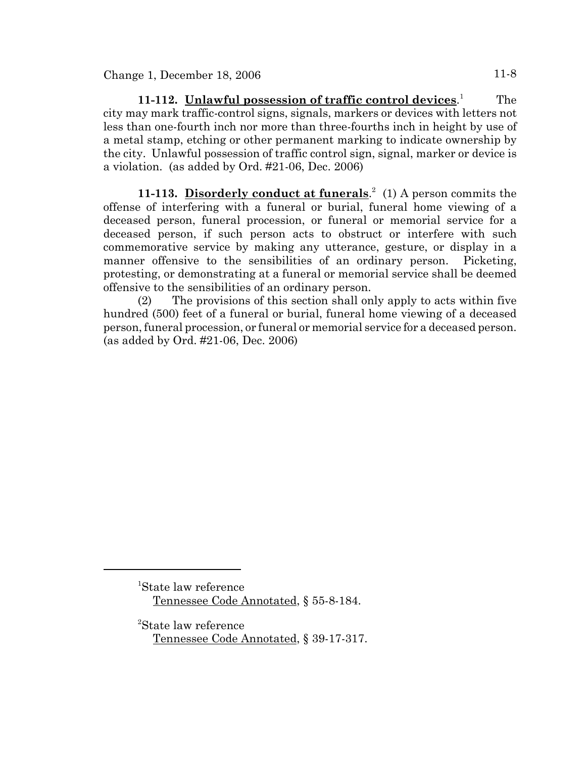**11-112. Unlawful possession of traffic control devices**. 1 The city may mark traffic-control signs, signals, markers or devices with letters not less than one-fourth inch nor more than three-fourths inch in height by use of a metal stamp, etching or other permanent marking to indicate ownership by the city. Unlawful possession of traffic control sign, signal, marker or device is a violation. (as added by Ord. #21-06, Dec. 2006)

11-113. Disorderly conduct at funerals.<sup>2</sup> (1) A person commits the offense of interfering with a funeral or burial, funeral home viewing of a deceased person, funeral procession, or funeral or memorial service for a deceased person, if such person acts to obstruct or interfere with such commemorative service by making any utterance, gesture, or display in a manner offensive to the sensibilities of an ordinary person. Picketing, protesting, or demonstrating at a funeral or memorial service shall be deemed offensive to the sensibilities of an ordinary person.

(2) The provisions of this section shall only apply to acts within five hundred (500) feet of a funeral or burial, funeral home viewing of a deceased person, funeral procession, or funeral or memorial service for a deceased person. (as added by Ord. #21-06, Dec. 2006)

<sup>1</sup> State law reference Tennessee Code Annotated, § 55-8-184.

<sup>2</sup> State law reference Tennessee Code Annotated, § 39-17-317.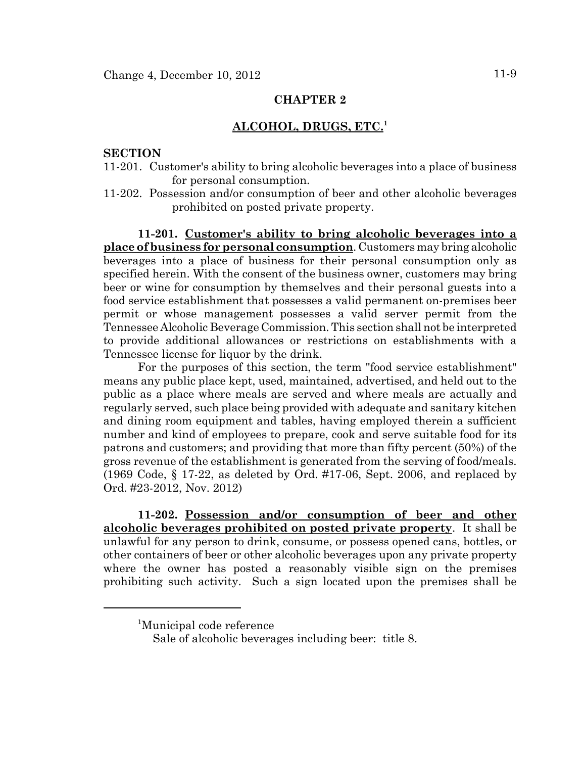# **ALCOHOL, DRUGS, ETC.<sup>1</sup>**

## **SECTION**

- 11-201. Customer's ability to bring alcoholic beverages into a place of business for personal consumption.
- 11-202. Possession and/or consumption of beer and other alcoholic beverages prohibited on posted private property.

**11-201. Customer's ability to bring alcoholic beverages into a place of business for personal consumption**. Customers may bring alcoholic beverages into a place of business for their personal consumption only as specified herein. With the consent of the business owner, customers may bring beer or wine for consumption by themselves and their personal guests into a food service establishment that possesses a valid permanent on-premises beer permit or whose management possesses a valid server permit from the Tennessee Alcoholic Beverage Commission. This section shall not be interpreted to provide additional allowances or restrictions on establishments with a Tennessee license for liquor by the drink.

For the purposes of this section, the term "food service establishment" means any public place kept, used, maintained, advertised, and held out to the public as a place where meals are served and where meals are actually and regularly served, such place being provided with adequate and sanitary kitchen and dining room equipment and tables, having employed therein a sufficient number and kind of employees to prepare, cook and serve suitable food for its patrons and customers; and providing that more than fifty percent (50%) of the gross revenue of the establishment is generated from the serving of food/meals. (1969 Code, § 17-22, as deleted by Ord. #17-06, Sept. 2006, and replaced by Ord. #23-2012, Nov. 2012)

**11-202. Possession and/or consumption of beer and other alcoholic beverages prohibited on posted private property**. It shall be unlawful for any person to drink, consume, or possess opened cans, bottles, or other containers of beer or other alcoholic beverages upon any private property where the owner has posted a reasonably visible sign on the premises prohibiting such activity. Such a sign located upon the premises shall be

<sup>1</sup> Municipal code reference

Sale of alcoholic beverages including beer: title 8.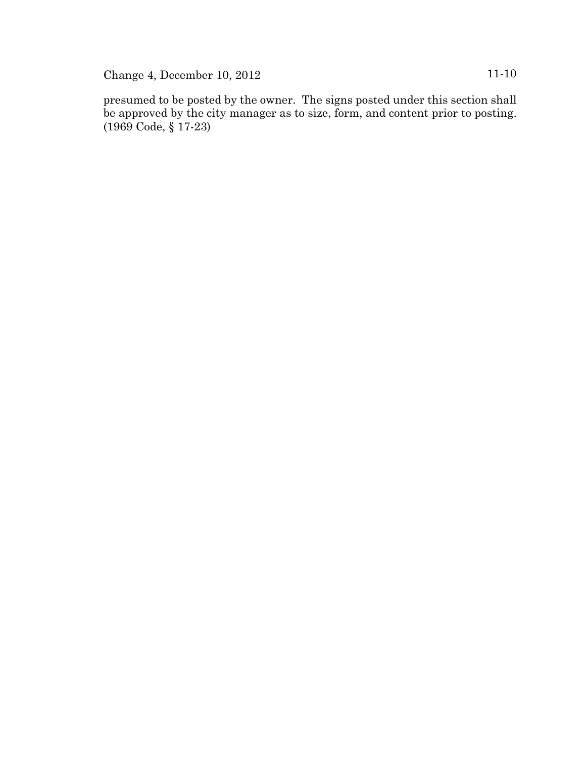Change 4, December 10, 2012 11-10

presumed to be posted by the owner. The signs posted under this section shall be approved by the city manager as to size, form, and content prior to posting. (1969 Code, § 17-23)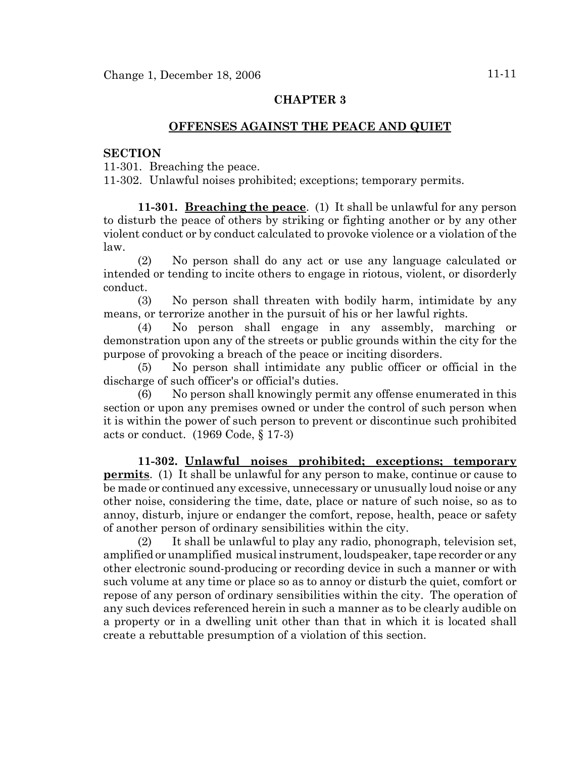## **OFFENSES AGAINST THE PEACE AND QUIET**

#### **SECTION**

11-301. Breaching the peace.

11-302. Unlawful noises prohibited; exceptions; temporary permits.

**11-301. Breaching the peace**. (1) It shall be unlawful for any person to disturb the peace of others by striking or fighting another or by any other violent conduct or by conduct calculated to provoke violence or a violation of the law.

(2) No person shall do any act or use any language calculated or intended or tending to incite others to engage in riotous, violent, or disorderly conduct.

(3) No person shall threaten with bodily harm, intimidate by any means, or terrorize another in the pursuit of his or her lawful rights.

(4) No person shall engage in any assembly, marching or demonstration upon any of the streets or public grounds within the city for the purpose of provoking a breach of the peace or inciting disorders.

(5) No person shall intimidate any public officer or official in the discharge of such officer's or official's duties.

(6) No person shall knowingly permit any offense enumerated in this section or upon any premises owned or under the control of such person when it is within the power of such person to prevent or discontinue such prohibited acts or conduct. (1969 Code, § 17-3)

**11-302. Unlawful noises prohibited; exceptions; temporary permits**. (1) It shall be unlawful for any person to make, continue or cause to be made or continued any excessive, unnecessary or unusually loud noise or any other noise, considering the time, date, place or nature of such noise, so as to annoy, disturb, injure or endanger the comfort, repose, health, peace or safety of another person of ordinary sensibilities within the city.

(2) It shall be unlawful to play any radio, phonograph, television set, amplified or unamplified musical instrument, loudspeaker, tape recorder or any other electronic sound-producing or recording device in such a manner or with such volume at any time or place so as to annoy or disturb the quiet, comfort or repose of any person of ordinary sensibilities within the city. The operation of any such devices referenced herein in such a manner as to be clearly audible on a property or in a dwelling unit other than that in which it is located shall create a rebuttable presumption of a violation of this section.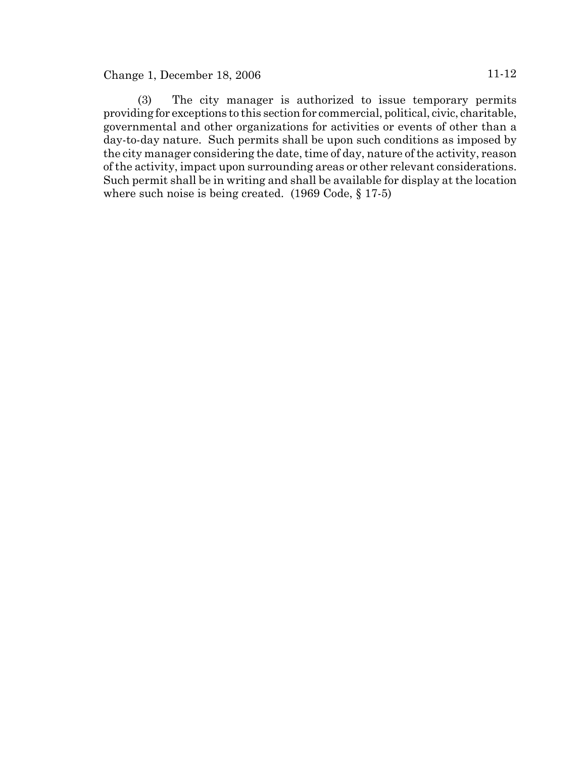# Change 1, December 18, 2006 11-12

(3) The city manager is authorized to issue temporary permits providing for exceptions to this section for commercial, political, civic, charitable, governmental and other organizations for activities or events of other than a day-to-day nature. Such permits shall be upon such conditions as imposed by the city manager considering the date, time of day, nature of the activity, reason of the activity, impact upon surrounding areas or other relevant considerations. Such permit shall be in writing and shall be available for display at the location where such noise is being created. (1969 Code, § 17-5)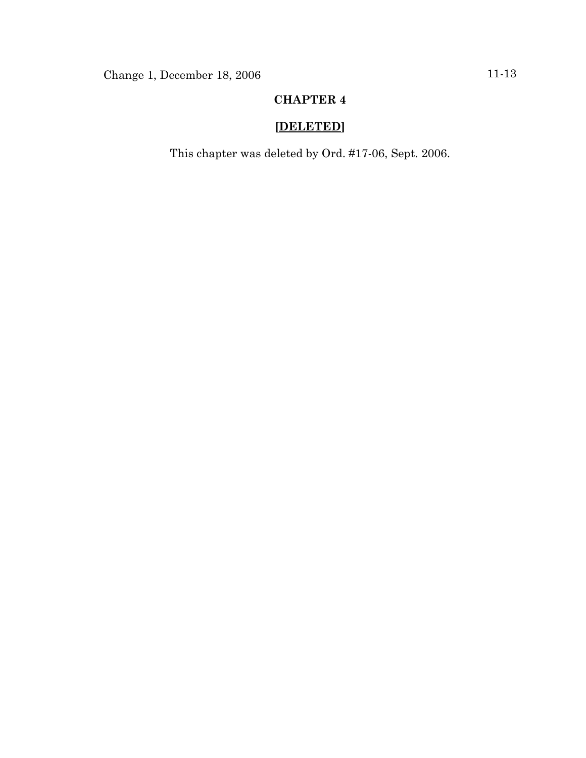# **[DELETED]**

This chapter was deleted by Ord. #17-06, Sept. 2006.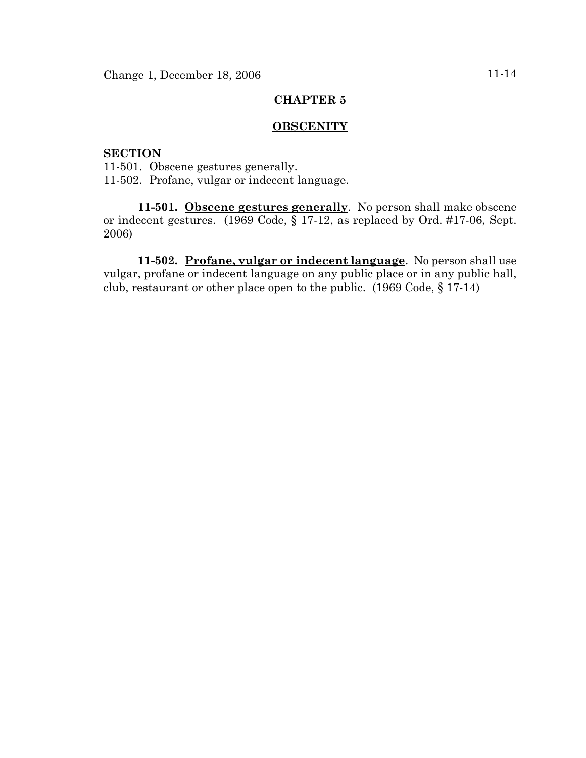#### **OBSCENITY**

# **SECTION**

11-501. Obscene gestures generally. 11-502. Profane, vulgar or indecent language.

**11-501. Obscene gestures generally**. No person shall make obscene or indecent gestures. (1969 Code, § 17-12, as replaced by Ord. #17-06, Sept. 2006)

**11-502. Profane, vulgar or indecent language**. No person shall use vulgar, profane or indecent language on any public place or in any public hall, club, restaurant or other place open to the public. (1969 Code, § 17-14)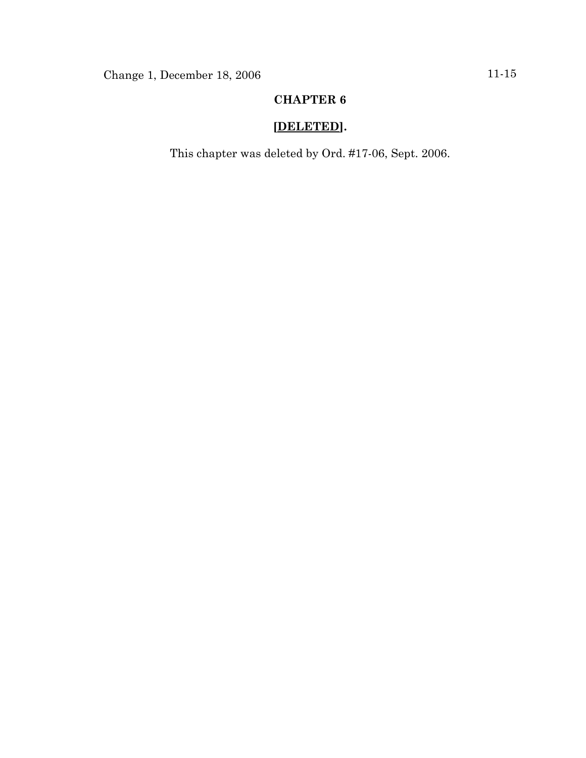# **[DELETED].**

This chapter was deleted by Ord. #17-06, Sept. 2006.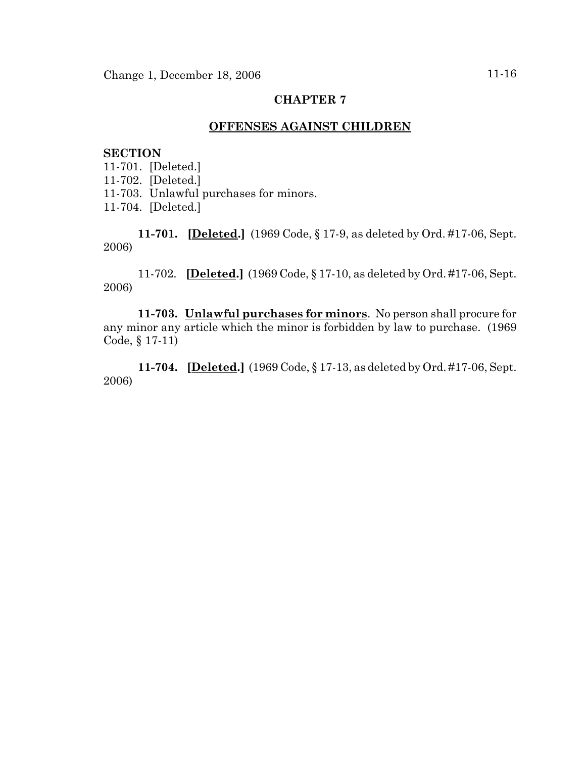# **OFFENSES AGAINST CHILDREN**

### **SECTION**

11-701. [Deleted.] 11-702. [Deleted.] 11-703. Unlawful purchases for minors. 11-704. [Deleted.]

**11-701. [Deleted.]** (1969 Code, § 17-9, as deleted by Ord. #17-06, Sept. 2006)

11-702. **[Deleted.]** (1969 Code, § 17-10, as deleted by Ord. #17-06, Sept. 2006)

**11-703. Unlawful purchases for minors**. No person shall procure for any minor any article which the minor is forbidden by law to purchase. (1969 Code, § 17-11)

**11-704. [Deleted.]** (1969 Code, § 17-13, as deleted by Ord. #17-06, Sept. 2006)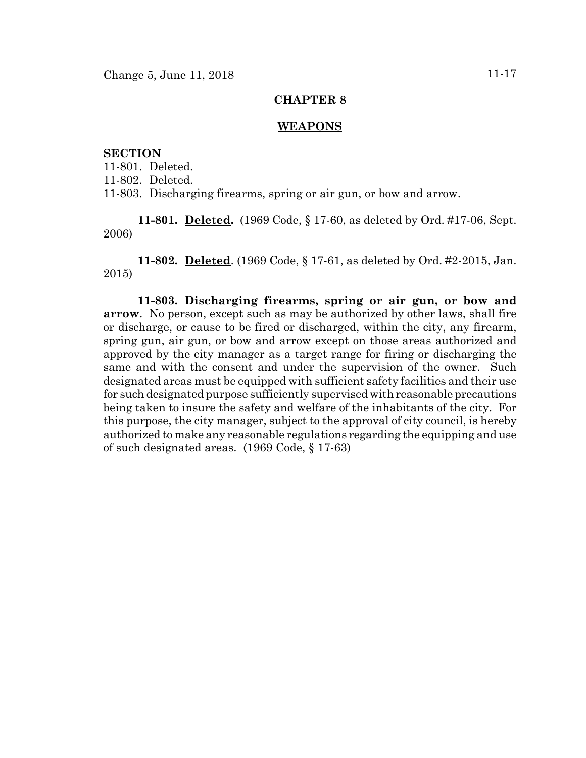#### **WEAPONS**

## **SECTION**

11-801. Deleted. 11-802. Deleted. 11-803. Discharging firearms, spring or air gun, or bow and arrow.

**11-801. Deleted.** (1969 Code, § 17-60, as deleted by Ord. #17-06, Sept. 2006)

**11-802. Deleted**. (1969 Code, § 17-61, as deleted by Ord. #2-2015, Jan. 2015)

**11-803. Discharging firearms, spring or air gun, or bow and arrow**. No person, except such as may be authorized by other laws, shall fire or discharge, or cause to be fired or discharged, within the city, any firearm, spring gun, air gun, or bow and arrow except on those areas authorized and approved by the city manager as a target range for firing or discharging the same and with the consent and under the supervision of the owner. Such designated areas must be equipped with sufficient safety facilities and their use for such designated purpose sufficiently supervised with reasonable precautions being taken to insure the safety and welfare of the inhabitants of the city. For this purpose, the city manager, subject to the approval of city council, is hereby authorized to make any reasonable regulations regarding the equipping and use of such designated areas. (1969 Code, § 17-63)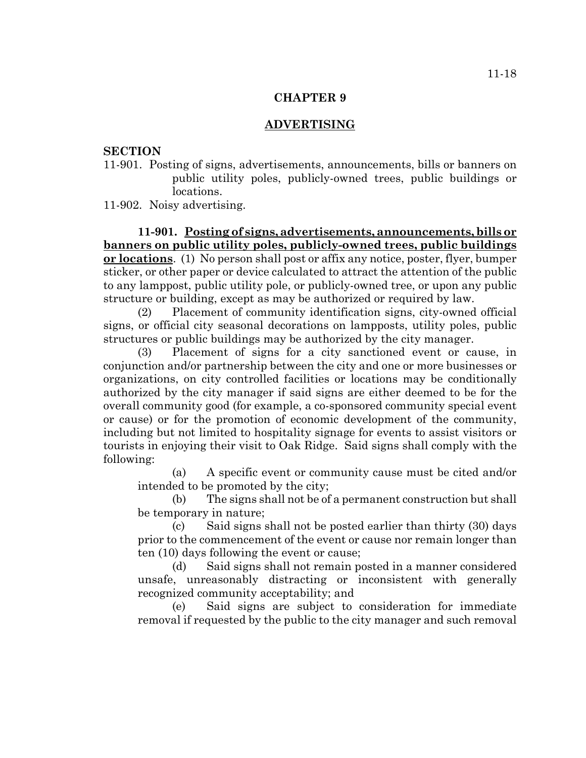## **ADVERTISING**

#### **SECTION**

11-901. Posting of signs, advertisements, announcements, bills or banners on public utility poles, publicly-owned trees, public buildings or locations.

11-902. Noisy advertising.

**11-901. Posting of signs, advertisements, announcements, bills or banners on public utility poles, publicly-owned trees, public buildings or locations**. (1) No person shall post or affix any notice, poster, flyer, bumper sticker, or other paper or device calculated to attract the attention of the public to any lamppost, public utility pole, or publicly-owned tree, or upon any public structure or building, except as may be authorized or required by law.

(2) Placement of community identification signs, city-owned official signs, or official city seasonal decorations on lampposts, utility poles, public structures or public buildings may be authorized by the city manager.

(3) Placement of signs for a city sanctioned event or cause, in conjunction and/or partnership between the city and one or more businesses or organizations, on city controlled facilities or locations may be conditionally authorized by the city manager if said signs are either deemed to be for the overall community good (for example, a co-sponsored community special event or cause) or for the promotion of economic development of the community, including but not limited to hospitality signage for events to assist visitors or tourists in enjoying their visit to Oak Ridge. Said signs shall comply with the following:

(a) A specific event or community cause must be cited and/or intended to be promoted by the city;

(b) The signs shall not be of a permanent construction but shall be temporary in nature;

(c) Said signs shall not be posted earlier than thirty (30) days prior to the commencement of the event or cause nor remain longer than ten (10) days following the event or cause;

(d) Said signs shall not remain posted in a manner considered unsafe, unreasonably distracting or inconsistent with generally recognized community acceptability; and

(e) Said signs are subject to consideration for immediate removal if requested by the public to the city manager and such removal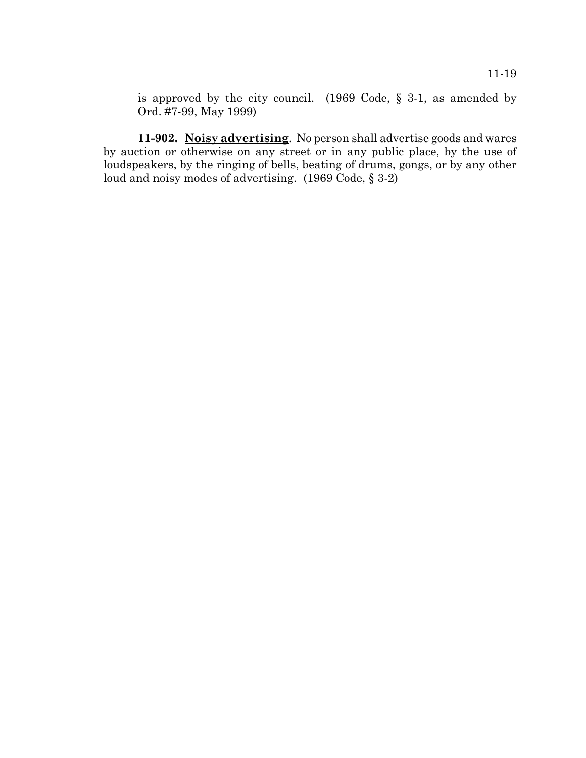is approved by the city council. (1969 Code, § 3-1, as amended by Ord. #7-99, May 1999)

**11-902. Noisy advertising**. No person shall advertise goods and wares by auction or otherwise on any street or in any public place, by the use of loudspeakers, by the ringing of bells, beating of drums, gongs, or by any other loud and noisy modes of advertising. (1969 Code, § 3-2)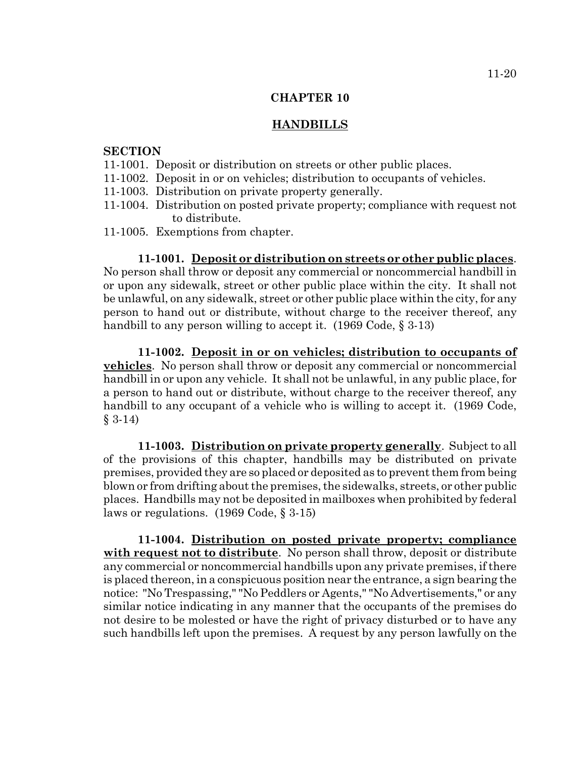## **HANDBILLS**

#### **SECTION**

- 11-1001. Deposit or distribution on streets or other public places.
- 11-1002. Deposit in or on vehicles; distribution to occupants of vehicles.
- 11-1003. Distribution on private property generally.
- 11-1004. Distribution on posted private property; compliance with request not to distribute.
- 11-1005. Exemptions from chapter.

**11-1001. Deposit or distribution on streets or other public places**. No person shall throw or deposit any commercial or noncommercial handbill in or upon any sidewalk, street or other public place within the city. It shall not be unlawful, on any sidewalk, street or other public place within the city, for any person to hand out or distribute, without charge to the receiver thereof, any handbill to any person willing to accept it. (1969 Code, § 3-13)

**11-1002. Deposit in or on vehicles; distribution to occupants of vehicles**. No person shall throw or deposit any commercial or noncommercial handbill in or upon any vehicle. It shall not be unlawful, in any public place, for a person to hand out or distribute, without charge to the receiver thereof, any handbill to any occupant of a vehicle who is willing to accept it. (1969 Code, § 3-14)

**11-1003. Distribution on private property generally**. Subject to all of the provisions of this chapter, handbills may be distributed on private premises, provided they are so placed or deposited as to prevent them from being blown or from drifting about the premises, the sidewalks, streets, or other public places. Handbills may not be deposited in mailboxes when prohibited by federal laws or regulations. (1969 Code, § 3-15)

**11-1004. Distribution on posted private property; compliance with request not to distribute**. No person shall throw, deposit or distribute any commercial or noncommercial handbills upon any private premises, if there is placed thereon, in a conspicuous position near the entrance, a sign bearing the notice: "No Trespassing," "No Peddlers or Agents," "No Advertisements," or any similar notice indicating in any manner that the occupants of the premises do not desire to be molested or have the right of privacy disturbed or to have any such handbills left upon the premises. A request by any person lawfully on the